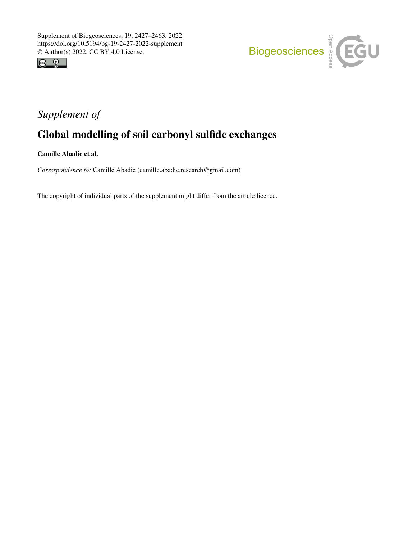



# *Supplement of*

# Global modelling of soil carbonyl sulfide exchanges

Camille Abadie et al.

*Correspondence to:* Camille Abadie (camille.abadie.research@gmail.com)

The copyright of individual parts of the supplement might differ from the article licence.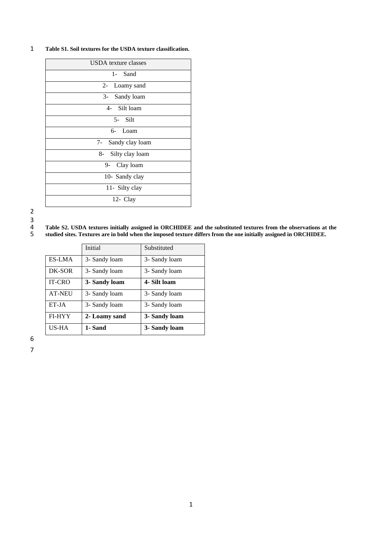#### 1 **Table S1. Soil textures for the USDA texture classification.**

| <b>USDA</b> texture classes |
|-----------------------------|
| 1- Sand                     |
| 2- Loamy sand               |
| 3- Sandy loam               |
| 4- Silt loam                |
| 5- Silt                     |
| 6- Loam                     |
| 7- Sandy clay loam          |
| 8- Silty clay loam          |
| 9- Clay loam                |
| 10- Sandy clay              |
| 11- Silty clay              |
| 12- Clay                    |

2  $\begin{array}{c} 3 \\ 4 \\ 5 \end{array}$ 

## 4 **Table S2. USDA textures initially assigned in ORCHIDEE and the substituted textures from the observations at the**

5 **studied sites. Textures are in bold when the imposed texture differs from the one initially assigned in ORCHIDEE.**

|               | Initial       | Substituted   |
|---------------|---------------|---------------|
| ES-LMA        | 3- Sandy loam | 3- Sandy loam |
| DK-SOR        | 3- Sandy loam | 3- Sandy loam |
| <b>IT-CRO</b> | 3- Sandy loam | 4- Silt loam  |
| <b>AT-NEU</b> | 3- Sandy loam | 3- Sandy loam |
| ET-JA         | 3- Sandy loam | 3- Sandy loam |
| FI-HYY        | 2- Loamy sand | 3- Sandy loam |
| US-HA         | 1- Sand       | 3- Sandy loam |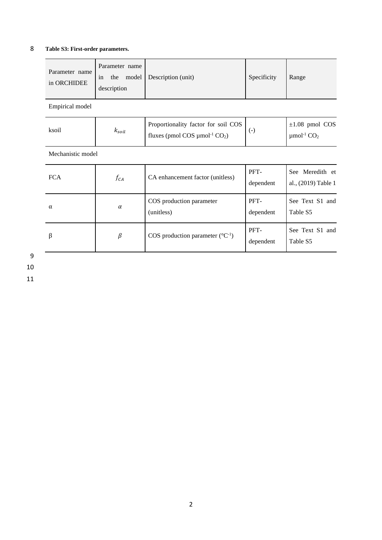### 8 **Table S3: First-order parameters.**

| Parameter name<br>in ORCHIDEE | Parameter name<br>the<br>1n<br>description | model Description (unit) | Specificity | Range |
|-------------------------------|--------------------------------------------|--------------------------|-------------|-------|
| Empirical model               |                                            |                          |             |       |

| ksoil | $\kappa_{soil}$ | Proportionality factor for soil COS<br>fluxes (pmol COS $\mu$ mol <sup>-1</sup> CO <sub>2</sub> ) |  | $\pm 1.08$ pmol COS<br>$\mu$ mol <sup>-1</sup> CO <sub>2</sub> |
|-------|-----------------|---------------------------------------------------------------------------------------------------|--|----------------------------------------------------------------|
|-------|-----------------|---------------------------------------------------------------------------------------------------|--|----------------------------------------------------------------|

Mechanistic model

| <b>FCA</b> | $f_{CA}$ | CA enhancement factor (unitless)              | PFT-<br>dependent | See Meredith et<br>al., (2019) Table 1 |
|------------|----------|-----------------------------------------------|-------------------|----------------------------------------|
| α          | $\alpha$ | COS production parameter<br>(unitless)        | PFT-<br>dependent | See Text S1 and<br>Table S5            |
| β          | β        | COS production parameter $({}^{\circ}C^{-1})$ | PFT-<br>dependent | See Text S1 and<br>Table S5            |

9 10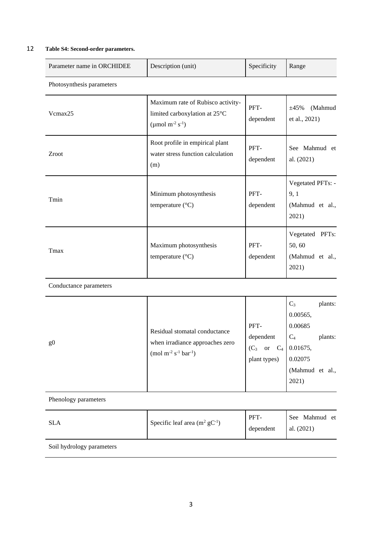#### 12 **Table S4: Second-order parameters.**

| Parameter name in ORCHIDEE | Description (unit)                                                                                            | Specificity       | Range                                                 |
|----------------------------|---------------------------------------------------------------------------------------------------------------|-------------------|-------------------------------------------------------|
| Photosynthesis parameters  |                                                                                                               |                   |                                                       |
| Vcmax25                    | Maximum rate of Rubisco activity-<br>limited carboxylation at 25°C<br>(µmol m <sup>-2</sup> s <sup>-1</sup> ) | PFT-<br>dependent | (Mahmud<br>$\pm 45\%$<br>et al., 2021)                |
| Zroot                      | Root profile in empirical plant<br>water stress function calculation<br>(m)                                   | PFT-<br>dependent | See Mahmud et<br>al. (2021)                           |
| Tmin                       | Minimum photosynthesis<br>temperature $(^{\circ}C)$                                                           | PFT-<br>dependent | Vegetated PFTs: -<br>9, 1<br>(Mahmud et al.,<br>2021) |
| Tmax                       | Maximum photosynthesis<br>temperature (°C)                                                                    | PFT-<br>dependent | Vegetated PFTs:<br>50,60<br>(Mahmud et al.,<br>2021)  |

Conductance parameters

| g <sub>0</sub> | Residual stomatal conductance<br>when irradiance approaches zero<br>$(mod m^{-2} s^{-1} bar^{-1})$ | PFT-<br>dependent<br>$(C_3)$<br>$C_4$<br><b>or</b><br>plant types) | $C_3$<br>0.00565,<br>0.00685<br>$C_4$<br>0.01675,<br>0.02075<br>(Mahmud et al.,<br>2021) | plants:<br>plants: |
|----------------|----------------------------------------------------------------------------------------------------|--------------------------------------------------------------------|------------------------------------------------------------------------------------------|--------------------|
|----------------|----------------------------------------------------------------------------------------------------|--------------------------------------------------------------------|------------------------------------------------------------------------------------------|--------------------|

Phenology parameters

| <b>SLA</b> | Specific leaf area $(m^2 gC^{-1})$ | PFT-<br>dependent | See Mahmud et<br>al. $(2021)$ |
|------------|------------------------------------|-------------------|-------------------------------|
|            |                                    |                   |                               |

Soil hydrology parameters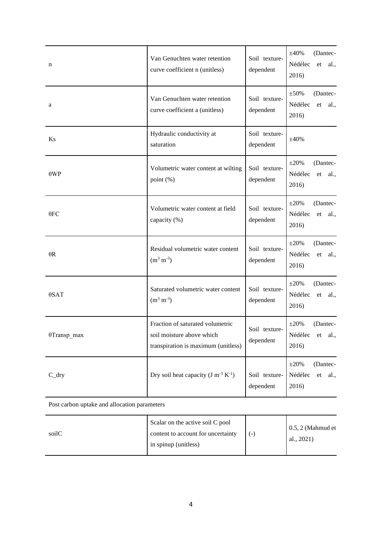| n                   | Van Genuchten water retention<br>Soil texture-<br>curve coefficient n (unitless)<br>dependent        |                            | $\pm 40\%$<br>(Dantec-<br>Nédélec<br>al.,<br>et<br>2016) |
|---------------------|------------------------------------------------------------------------------------------------------|----------------------------|----------------------------------------------------------|
| a                   | Van Genuchten water retention<br>curve coefficient a (unitless)                                      | Soil texture-<br>dependent | $\pm 50\%$<br>(Dantec-<br>Nédélec<br>al.,<br>et<br>2016) |
| Ks                  | Hydraulic conductivity at<br>saturation                                                              | Soil texture-<br>dependent | $\pm 40\%$                                               |
| $\theta WP$         | Volumetric water content at wilting<br>point (%)                                                     | Soil texture-<br>dependent | $\pm 20\%$<br>(Dantec-<br>Nédélec<br>al.,<br>et<br>2016) |
| $\theta$ FC         | Volumetric water content at field<br>capacity (%)                                                    | Soil texture-<br>dependent | $\pm 20\%$<br>(Dantec-<br>Nédélec<br>et<br>al.,<br>2016) |
| $\theta$ R          | Residual volumetric water content<br>$(m^3 m^{-3})$                                                  | Soil texture-<br>dependent | $\pm 20\%$<br>(Dantec-<br>Nédélec<br>et<br>al.,<br>2016) |
| $\theta$ SAT        | Saturated volumetric water content<br>$(m^3 m^{-3})$                                                 | Soil texture-<br>dependent | $\pm 20\%$<br>(Dantec-<br>Nédélec<br>al.,<br>et<br>2016) |
| $\theta$ Transp_max | Fraction of saturated volumetric<br>soil moisture above which<br>transpiration is maximum (unitless) | Soil texture-<br>dependent | $\pm 20\%$<br>(Dantec-<br>Nédélec et<br>al.,<br>2016)    |
| $C_dry$             | Dry soil heat capacity $(J m^{-3} K^{-1})$                                                           | Soil texture-<br>dependent | $\pm 20\%$<br>(Dantec-<br>Nédélec<br>et<br>al.,<br>2016) |

Post carbon uptake and allocation parameters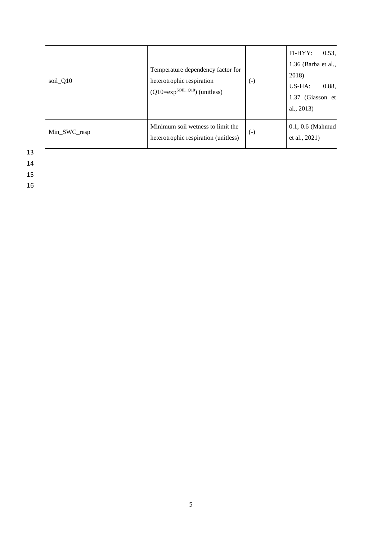| soil_Q10     | Temperature dependency factor for<br>heterotrophic respiration<br>$(Q10=exp^{SOL_Q10})$ (unitless) | $(\text{-})$      | $FI-HYY$ :<br>0.53,<br>1.36 (Barba et al.,<br>2018)<br>US-HA:<br>0.88,<br>1.37 (Giasson et<br>al., $2013$ ) |
|--------------|----------------------------------------------------------------------------------------------------|-------------------|-------------------------------------------------------------------------------------------------------------|
| Min_SWC_resp | Minimum soil wetness to limit the<br>heterotrophic respiration (unitless)                          | $\left( -\right)$ | $0.1, 0.6$ (Mahmud<br>et al., 2021)                                                                         |

13 14

15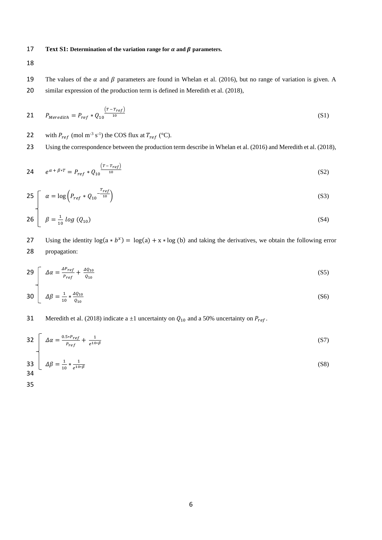#### 17 **Text S1:** Determination of the variation range for  $\alpha$  and  $\beta$  parameters.

18

19 The values of the  $\alpha$  and  $\beta$  parameters are found in Whelan et al. (2016), but no range of variation is given. A 20 similar expression of the production term is defined in Meredith et al. (2018),

$$
P_{Meredith} = P_{ref} * Q_1 \frac{(r - r_{ref})}{10}
$$
\n
$$
(S1)
$$

22 with  $P_{ref}$  (mol m<sup>-3</sup> s<sup>-1</sup>) the COS flux at  $T_{ref}$  (°C).

23 Using the correspondence between the production term describe in Whelan et al. (2016) and Meredith et al. (2018),

24 
$$
e^{\alpha + \beta * T} = P_{ref} * Q_{10} \frac{(T - T_{ref})}{10}
$$
 (S2)

$$
25\int \alpha = \log \left(P_{ref} * Q_{10} \frac{r_{ref}}{10}\right) \tag{S3}
$$

$$
26 \left[ \beta = \frac{1}{10} \log (Q_{10}) \right] \tag{S4}
$$

27 Using the identity  $log(a * b^x) = log(a) + x * log(b)$  and taking the derivatives, we obtain the following error 28 propagation:

$$
29\int \Delta \alpha = \frac{\Delta P_{ref}}{P_{ref}} + \frac{\Delta Q_{10}}{Q_{10}} \tag{S5}
$$

$$
30 \left[ \Delta \beta = \frac{1}{10} * \frac{\Delta Q_{10}}{Q_{10}} \right] \tag{S6}
$$

### 31 Meredith et al. (2018) indicate a  $\pm 1$  uncertainty on  $Q_{10}$  and a 50% uncertainty on  $P_{ref}$ .

$$
32 \int \Delta \alpha = \frac{0.5 \cdot P_{ref}}{P_{ref}} + \frac{1}{e^{10 \cdot \beta}} \tag{S7}
$$

$$
\frac{33}{34} \left[ \Delta \beta = \frac{1}{10} * \frac{1}{e^{10*\beta}} \right] \tag{S8}
$$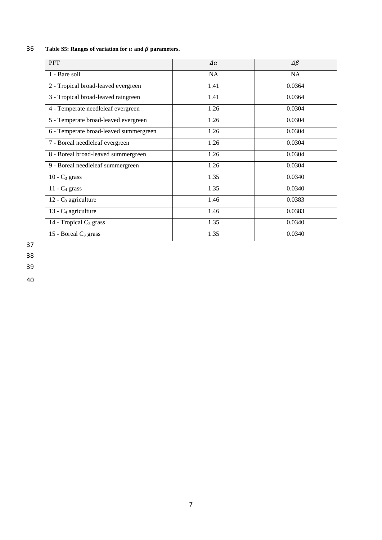| <b>PFT</b>                             | $\Delta \alpha$ | $\Delta \beta$ |
|----------------------------------------|-----------------|----------------|
| 1 - Bare soil                          | <b>NA</b>       | <b>NA</b>      |
| 2 - Tropical broad-leaved evergreen    | 1.41            | 0.0364         |
| 3 - Tropical broad-leaved raingreen    | 1.41            | 0.0364         |
| 4 - Temperate needleleaf evergreen     | 1.26            | 0.0304         |
| 5 - Temperate broad-leaved evergreen   | 1.26            | 0.0304         |
| 6 - Temperate broad-leaved summergreen | 1.26            | 0.0304         |
| 7 - Boreal needleleaf evergreen        | 1.26            | 0.0304         |
| 8 - Boreal broad-leaved summergreen    | 1.26            | 0.0304         |
| 9 - Boreal needleleaf summergreen      | 1.26            | 0.0304         |
| $10 - C_3$ grass                       | 1.35            | 0.0340         |
| $11 - C_4$ grass                       | 1.35            | 0.0340         |
| $12 - C_3$ agriculture                 | 1.46            | 0.0383         |
| 13 - C <sub>4</sub> agriculture        | 1.46            | 0.0383         |
| 14 - Tropical $C_3$ grass              | 1.35            | 0.0340         |
| 15 - Boreal $C_3$ grass                | 1.35            | 0.0340         |

## 36 **Table S5: Ranges of variation for**  $\alpha$  **and**  $\beta$  **parameters.**

37

38

39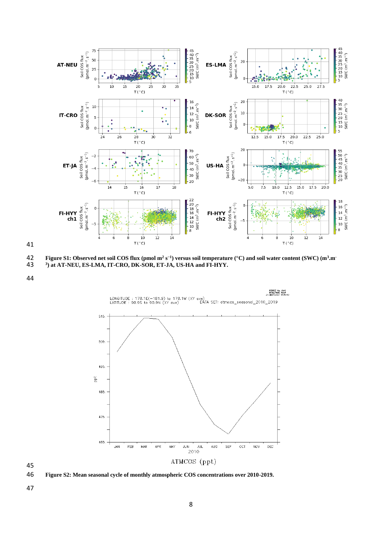

**Figure S1: Observed net soil COS flux (pmol m<sup>2</sup> s −1 ) versus soil temperature (°C) and soil water content (SWC) (m<sup>3</sup> .m-**

**<sup>3</sup> ) at AT-NEU, ES-LMA, IT-CRO, DK-SOR, ET-JA, US-HA and FI-HYY.** 





**Figure S2: Mean seasonal cycle of monthly atmospheric COS concentrations over 2010-2019.**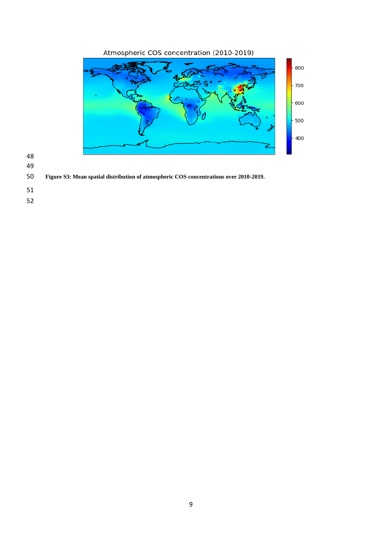



- 
- 
- **Figure S3: Mean spatial distribution of atmospheric COS concentrations over 2010-2019.**
- 
- 
-